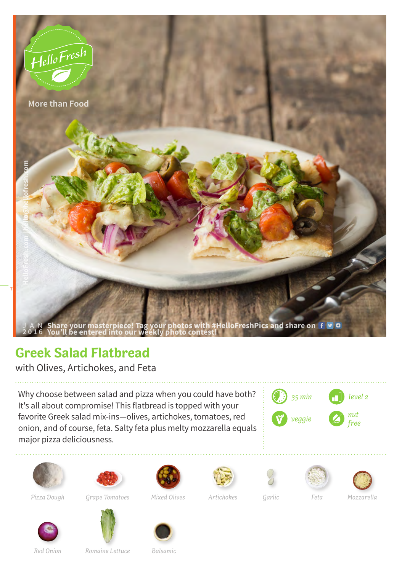

## **Greek Salad Flatbread**

with Olives, Artichokes, and Feta

Why choose between salad and pizza when you could have both? It's all about compromise! This flatbread is topped with your favorite Greek salad mix-ins—olives, artichokes, tomatoes, red onion, and of course, feta. Salty feta plus melty mozzarella equals major pizza deliciousness.





*Pizza Dough Artichokes Grape Tomatoes*

















*Mixed Olives Garlic Feta Mozzarella*

*Red Onion*

*Romaine Lettuce Balsamic*